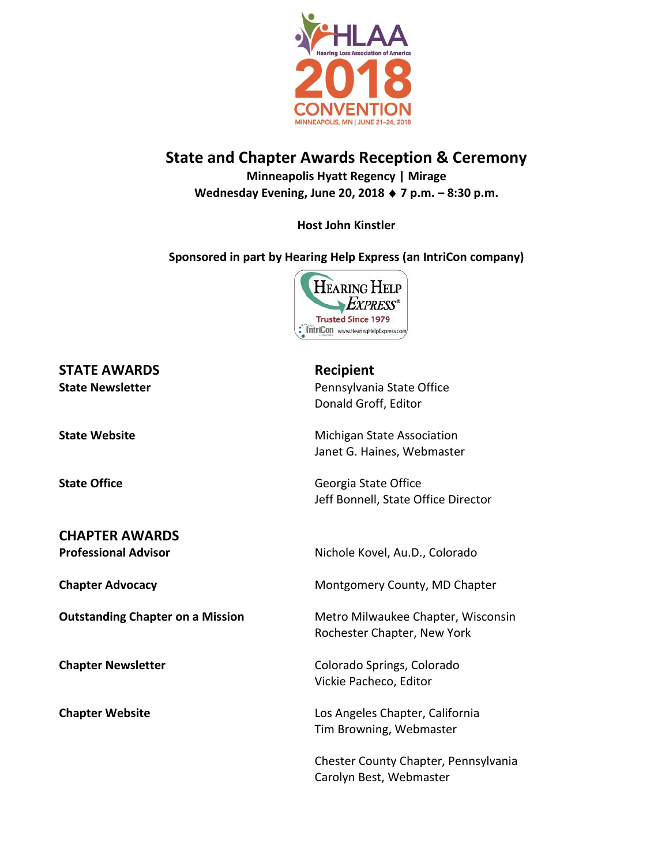

## **State and Chapter Awards Reception & Ceremony Minneapolis Hyatt Regency | Mirage**

**Wednesday Evening, June 20, 2018 7 p.m. – 8:30 p.m.**

## **Host John Kinstler**

## **Sponsored in part by Hearing Help Express (an IntriCon company)**



# **STATE AWARDS Recipient**

### **CHAPTER AWARDS**

**State Newsletter Pennsylvania State Office** Donald Groff, Editor

**State Website** Michigan State Association Janet G. Haines, Webmaster

**State Office** Georgia State Office Jeff Bonnell, State Office Director

**Professional Advisor** Nichole Kovel, Au.D., Colorado

**Chapter Advocacy Chapter Advocacy Montgomery County, MD Chapter** 

**Outstanding Chapter on a Mission** Metro Milwaukee Chapter, Wisconsin Rochester Chapter, New York

**Chapter Newsletter** Chapter Newsletter Colorado Springs, Colorado Vickie Pacheco, Editor

**Chapter Website Los Angeles Chapter, California** Tim Browning, Webmaster

> Chester County Chapter, Pennsylvania Carolyn Best, Webmaster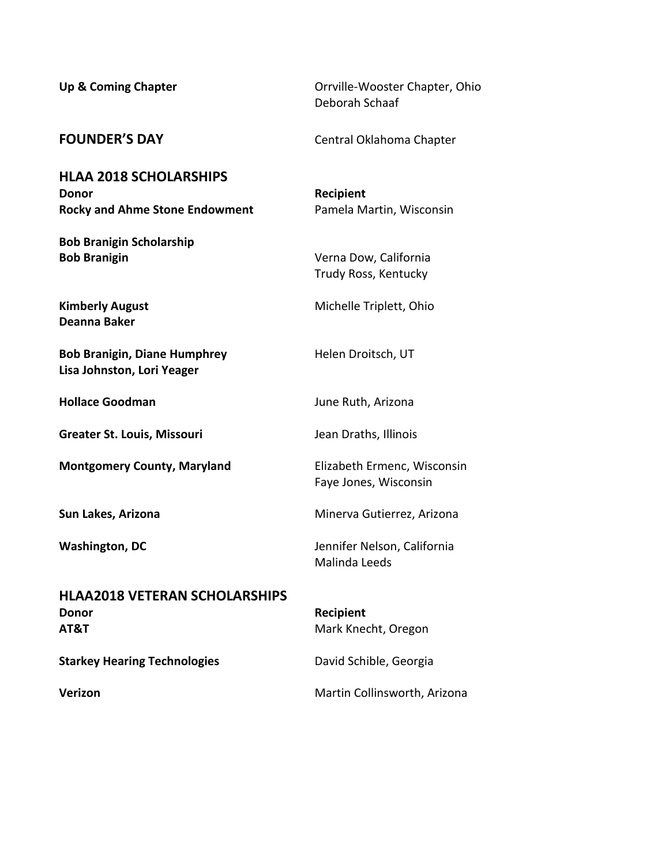| <b>Up &amp; Coming Chapter</b>                                                  | Orrville-Wooster Chapter, Ohio<br>Deborah Schaaf     |
|---------------------------------------------------------------------------------|------------------------------------------------------|
| <b>FOUNDER'S DAY</b>                                                            | Central Oklahoma Chapter                             |
| <b>HLAA 2018 SCHOLARSHIPS</b><br>Donor<br><b>Rocky and Ahme Stone Endowment</b> | <b>Recipient</b><br>Pamela Martin, Wisconsin         |
| <b>Bob Branigin Scholarship</b><br><b>Bob Branigin</b>                          | Verna Dow, California<br>Trudy Ross, Kentucky        |
| <b>Kimberly August</b><br><b>Deanna Baker</b>                                   | Michelle Triplett, Ohio                              |
| <b>Bob Branigin, Diane Humphrey</b><br>Lisa Johnston, Lori Yeager               | Helen Droitsch, UT                                   |
| <b>Hollace Goodman</b>                                                          | June Ruth, Arizona                                   |
| <b>Greater St. Louis, Missouri</b>                                              | Jean Draths, Illinois                                |
| <b>Montgomery County, Maryland</b>                                              | Elizabeth Ermenc, Wisconsin<br>Faye Jones, Wisconsin |
| Sun Lakes, Arizona                                                              | Minerva Gutierrez, Arizona                           |
| <b>Washington, DC</b>                                                           | Jennifer Nelson, California<br>Malinda Leeds         |
| <b>HLAA2018 VETERAN SCHOLARSHIPS</b><br>Donor<br>AT&T                           | Recipient<br>Mark Knecht, Oregon                     |
| <b>Starkey Hearing Technologies</b>                                             | David Schible, Georgia                               |
| Verizon                                                                         | Martin Collinsworth, Arizona                         |